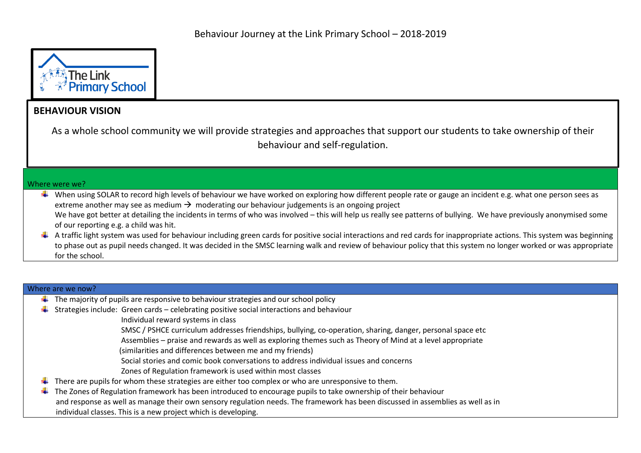

## **BEHAVIOUR VISION**

As a whole school community we will provide strategies and approaches that support our students to take ownership of their behaviour and self-regulation.

## Where were we?

- $\ddotplus$  When using SOLAR to record high levels of behaviour we have worked on exploring how different people rate or gauge an incident e.g. what one person sees as extreme another may see as medium  $\rightarrow$  moderating our behaviour judgements is an ongoing project
	- We have got better at detailing the incidents in terms of who was involved this will help us really see patterns of bullying. We have previously anonymised some of our reporting e.g. a child was hit.
- $\ddot{*}$  A traffic light system was used for behaviour including green cards for positive social interactions and red cards for inappropriate actions. This system was beginning to phase out as pupil needs changed. It was decided in the SMSC learning walk and review of behaviour policy that this system no longer worked or was appropriate for the school.

## Where are we now?

- $\ddot{\phantom{1}}$  The majority of pupils are responsive to behaviour strategies and our school policy
- $\ddot{+}$  Strategies include: Green cards celebrating positive social interactions and behaviour

Individual reward systems in class

- SMSC / PSHCE curriculum addresses friendships, bullying, co-operation, sharing, danger, personal space etc
- Assemblies praise and rewards as well as exploring themes such as Theory of Mind at a level appropriate
- (similarities and differences between me and my friends)
- Social stories and comic book conversations to address individual issues and concerns
- Zones of Regulation framework is used within most classes
- $\ddot{\phantom{1}}$  There are pupils for whom these strategies are either too complex or who are unresponsive to them.
- $\ddot{+}$  The Zones of Regulation framework has been introduced to encourage pupils to take ownership of their behaviour and response as well as manage their own sensory regulation needs. The framework has been discussed in assemblies as well as in individual classes. This is a new project which is developing.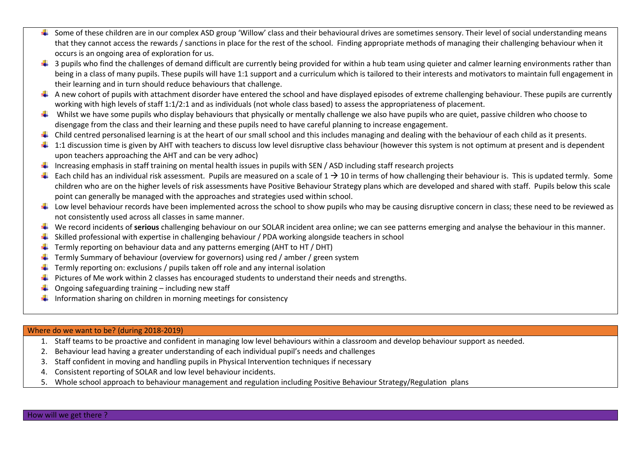- Some of these children are in our complex ASD group 'Willow' class and their behavioural drives are sometimes sensory. Their level of social understanding means that they cannot access the rewards / sanctions in place for the rest of the school. Finding appropriate methods of managing their challenging behaviour when it occurs is an ongoing area of exploration for us.
- $\ddagger$  3 pupils who find the challenges of demand difficult are currently being provided for within a hub team using quieter and calmer learning environments rather than being in a class of many pupils. These pupils will have 1:1 support and a curriculum which is tailored to their interests and motivators to maintain full engagement in their learning and in turn should reduce behaviours that challenge.
- $\ddot{\phantom{a}}$  A new cohort of pupils with attachment disorder have entered the school and have displayed episodes of extreme challenging behaviour. These pupils are currently working with high levels of staff 1:1/2:1 and as individuals (not whole class based) to assess the appropriateness of placement.
- Whilst we have some pupils who display behaviours that physically or mentally challenge we also have pupils who are quiet, passive children who choose to disengage from the class and their learning and these pupils need to have careful planning to increase engagement.
- $\ddot{\phantom{a}}$  Child centred personalised learning is at the heart of our small school and this includes managing and dealing with the behaviour of each child as it presents.
- $\ddagger$  1:1 discussion time is given by AHT with teachers to discuss low level disruptive class behaviour (however this system is not optimum at present and is dependent upon teachers approaching the AHT and can be very adhoc)
- Increasing emphasis in staff training on mental health issues in pupils with SEN / ASD including staff research projects
- $\ddot{+}$  Each child has an individual risk assessment. Pupils are measured on a scale of  $1 \rightarrow 10$  in terms of how challenging their behaviour is. This is updated termly. Some children who are on the higher levels of risk assessments have Positive Behaviour Strategy plans which are developed and shared with staff. Pupils below this scale point can generally be managed with the approaches and strategies used within school.
- Low level behaviour records have been implemented across the school to show pupils who may be causing disruptive concern in class; these need to be reviewed as not consistently used across all classes in same manner.
- We record incidents of **serious** challenging behaviour on our SOLAR incident area online; we can see patterns emerging and analyse the behaviour in this manner.
- Skilled professional with expertise in challenging behaviour / PDA working alongside teachers in school
- Termly reporting on behaviour data and any patterns emerging (AHT to HT / DHT)
- Termly Summary of behaviour (overview for governors) using red / amber / green system
- $\ddot{\phantom{1}}$  Termly reporting on: exclusions / pupils taken off role and any internal isolation
- Pictures of Me work within 2 classes has encouraged students to understand their needs and strengths.
- Ongoing safeguarding training including new staff
- Information sharing on children in morning meetings for consistency

## Where do we want to be? (during 2018-2019)

- 1. Staff teams to be proactive and confident in managing low level behaviours within a classroom and develop behaviour support as needed.
- 2. Behaviour lead having a greater understanding of each individual pupil's needs and challenges
- 3. Staff confident in moving and handling pupils in Physical Intervention techniques if necessary
- 4. Consistent reporting of SOLAR and low level behaviour incidents.
- 5. Whole school approach to behaviour management and regulation including Positive Behaviour Strategy/Regulation plans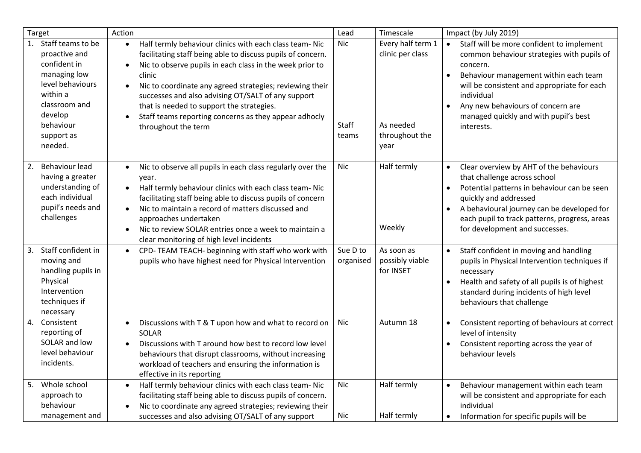| Target                                                                                                                                                                     | Action                                                                                                                                                                                                                                                                                                                                                                                                                                                                             | Lead                     | Timescale                                                                    | Impact (by July 2019)                                                                                                                                                                                                                                                                                                                        |
|----------------------------------------------------------------------------------------------------------------------------------------------------------------------------|------------------------------------------------------------------------------------------------------------------------------------------------------------------------------------------------------------------------------------------------------------------------------------------------------------------------------------------------------------------------------------------------------------------------------------------------------------------------------------|--------------------------|------------------------------------------------------------------------------|----------------------------------------------------------------------------------------------------------------------------------------------------------------------------------------------------------------------------------------------------------------------------------------------------------------------------------------------|
| Staff teams to be<br>1.<br>proactive and<br>confident in<br>managing low<br>level behaviours<br>within a<br>classroom and<br>develop<br>behaviour<br>support as<br>needed. | Half termly behaviour clinics with each class team- Nic<br>$\bullet$<br>facilitating staff being able to discuss pupils of concern.<br>Nic to observe pupils in each class in the week prior to<br>$\bullet$<br>clinic<br>Nic to coordinate any agreed strategies; reviewing their<br>$\bullet$<br>successes and also advising OT/SALT of any support<br>that is needed to support the strategies.<br>Staff teams reporting concerns as they appear adhocly<br>throughout the term | Nic<br>Staff<br>teams    | Every half term 1<br>clinic per class<br>As needed<br>throughout the<br>year | Staff will be more confident to implement<br>$\bullet$<br>common behaviour strategies with pupils of<br>concern.<br>Behaviour management within each team<br>$\bullet$<br>will be consistent and appropriate for each<br>individual<br>Any new behaviours of concern are<br>$\bullet$<br>managed quickly and with pupil's best<br>interests. |
| Behaviour lead<br>2.<br>having a greater<br>understanding of<br>each individual<br>pupil's needs and<br>challenges                                                         | Nic to observe all pupils in each class regularly over the<br>$\bullet$<br>year.<br>Half termly behaviour clinics with each class team- Nic<br>$\bullet$<br>facilitating staff being able to discuss pupils of concern<br>Nic to maintain a record of matters discussed and<br>$\bullet$<br>approaches undertaken<br>Nic to review SOLAR entries once a week to maintain a<br>$\bullet$<br>clear monitoring of high level incidents                                                | Nic                      | Half termly<br>Weekly                                                        | Clear overview by AHT of the behaviours<br>$\bullet$<br>that challenge across school<br>Potential patterns in behaviour can be seen<br>quickly and addressed<br>A behavioural journey can be developed for<br>$\bullet$<br>each pupil to track patterns, progress, areas<br>for development and successes.                                   |
| Staff confident in<br>3.<br>moving and<br>handling pupils in<br>Physical<br>Intervention<br>techniques if<br>necessary                                                     | CPD-TEAM TEACH- beginning with staff who work with<br>$\bullet$<br>pupils who have highest need for Physical Intervention                                                                                                                                                                                                                                                                                                                                                          | Sue D to<br>organised    | As soon as<br>possibly viable<br>for INSET                                   | Staff confident in moving and handling<br>$\bullet$<br>pupils in Physical Intervention techniques if<br>necessary<br>Health and safety of all pupils is of highest<br>standard during incidents of high level<br>behaviours that challenge                                                                                                   |
| 4.<br>Consistent<br>reporting of<br>SOLAR and low<br>level behaviour<br>incidents.                                                                                         | Discussions with T & T upon how and what to record on<br>$\bullet$<br>SOLAR<br>Discussions with T around how best to record low level<br>behaviours that disrupt classrooms, without increasing<br>workload of teachers and ensuring the information is<br>effective in its reporting                                                                                                                                                                                              | <b>Nic</b>               | Autumn 18                                                                    | Consistent reporting of behaviours at correct<br>level of intensity<br>Consistent reporting across the year of<br>behaviour levels                                                                                                                                                                                                           |
| Whole school<br>5.<br>approach to<br>behaviour<br>management and                                                                                                           | Half termly behaviour clinics with each class team- Nic<br>$\bullet$<br>facilitating staff being able to discuss pupils of concern.<br>Nic to coordinate any agreed strategies; reviewing their<br>successes and also advising OT/SALT of any support                                                                                                                                                                                                                              | <b>Nic</b><br><b>Nic</b> | Half termly<br>Half termly                                                   | Behaviour management within each team<br>$\bullet$<br>will be consistent and appropriate for each<br>individual<br>Information for specific pupils will be                                                                                                                                                                                   |